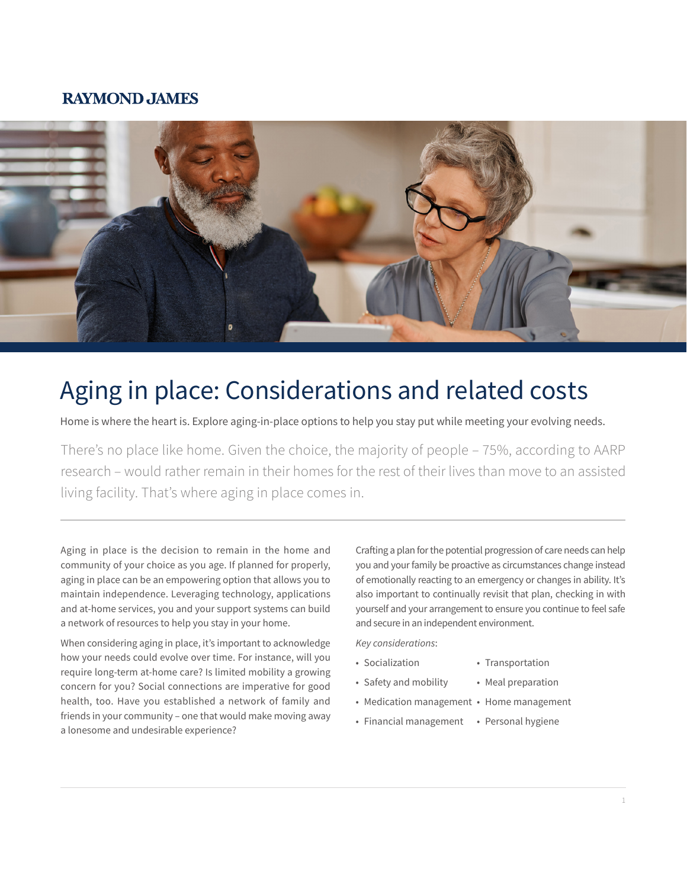### **RAYMOND JAMES**



# Aging in place: Considerations and related costs

Home is where the heart is. Explore aging-in-place options to help you stay put while meeting your evolving needs.

There's no place like home. Given the choice, the majority of people – 75%, according to AARP research – would rather remain in their homes for the rest of their lives than move to an assisted living facility. That's where aging in place comes in.

Aging in place is the decision to remain in the home and community of your choice as you age. If planned for properly, aging in place can be an empowering option that allows you to maintain independence. Leveraging technology, applications and at-home services, you and your support systems can build a network of resources to help you stay in your home.

When considering aging in place, it's important to acknowledge how your needs could evolve over time. For instance, will you require long-term at-home care? Is limited mobility a growing concern for you? Social connections are imperative for good health, too. Have you established a network of family and friends in your community – one that would make moving away a lonesome and undesirable experience?

Crafting a plan for the potential progression of care needs can help you and your family be proactive as circumstances change instead of emotionally reacting to an emergency or changes in ability. It's also important to continually revisit that plan, checking in with yourself and your arrangement to ensure you continue to feel safe and secure in an independent environment.

*Key considerations*:

- Socialization Transportation
- Safety and mobility Meal preparation
	-
- Medication management Home management
- Financial management Personal hygiene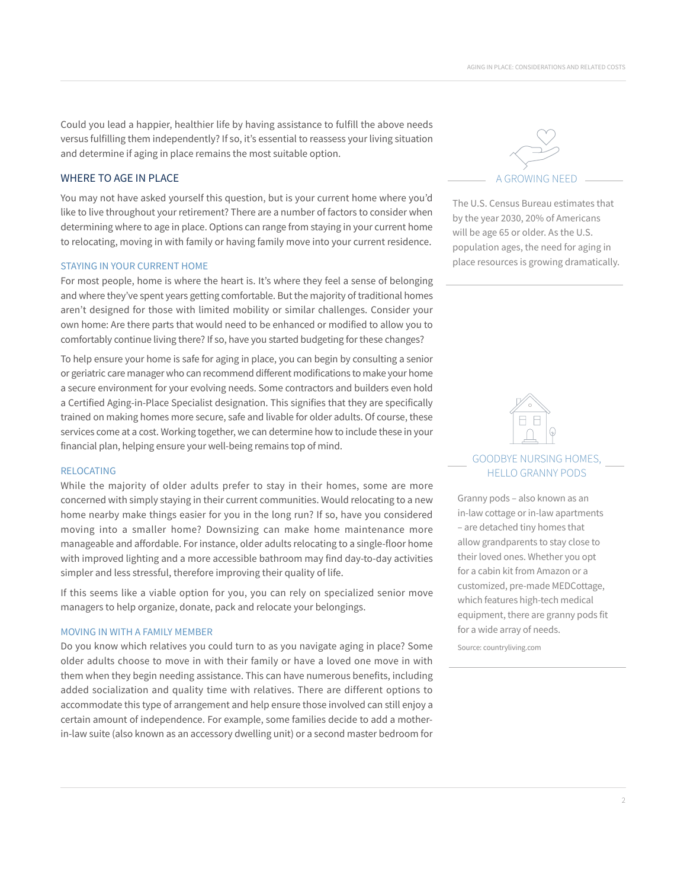Could you lead a happier, healthier life by having assistance to fulfill the above needs versus fulfilling them independently? If so, it's essential to reassess your living situation and determine if aging in place remains the most suitable option.

#### WHERE TO AGE IN PLACE

You may not have asked yourself this question, but is your current home where you'd like to live throughout your retirement? There are a number of factors to consider when determining where to age in place. Options can range from staying in your current home to relocating, moving in with family or having family move into your current residence.

#### STAYING IN YOUR CURRENT HOME

For most people, home is where the heart is. It's where they feel a sense of belonging and where they've spent years getting comfortable. But the majority of traditional homes aren't designed for those with limited mobility or similar challenges. Consider your own home: Are there parts that would need to be enhanced or modified to allow you to comfortably continue living there? If so, have you started budgeting for these changes?

To help ensure your home is safe for aging in place, you can begin by consulting a senior or geriatric care manager who can recommend different modifications to make your home a secure environment for your evolving needs. Some contractors and builders even hold a Certified Aging-in-Place Specialist designation. This signifies that they are specifically trained on making homes more secure, safe and livable for older adults. Of course, these services come at a cost. Working together, we can determine how to include these in your financial plan, helping ensure your well-being remains top of mind.

#### RELOCATING

While the majority of older adults prefer to stay in their homes, some are more concerned with simply staying in their current communities. Would relocating to a new home nearby make things easier for you in the long run? If so, have you considered moving into a smaller home? Downsizing can make home maintenance more manageable and affordable. For instance, older adults relocating to a single-floor home with improved lighting and a more accessible bathroom may find day-to-day activities simpler and less stressful, therefore improving their quality of life.

If this seems like a viable option for you, you can rely on specialized senior move managers to help organize, donate, pack and relocate your belongings.

#### MOVING IN WITH A FAMILY MEMBER

Do you know which relatives you could turn to as you navigate aging in place? Some older adults choose to move in with their family or have a loved one move in with them when they begin needing assistance. This can have numerous benefits, including added socialization and quality time with relatives. There are different options to accommodate this type of arrangement and help ensure those involved can still enjoy a certain amount of independence. For example, some families decide to add a motherin-law suite (also known as an accessory dwelling unit) or a second master bedroom for



The U.S. Census Bureau estimates that by the year 2030, 20% of Americans will be age 65 or older. As the U.S. population ages, the need for aging in place resources is growing dramatically.



#### GOODBYE NURSING HOMES, HELLO GRANNY PODS

Granny pods – also known as an in-law cottage or in-law apartments – are detached tiny homes that allow grandparents to stay close to their loved ones. Whether you opt for a cabin kit from Amazon or a customized, pre-made MEDCottage, which features high-tech medical equipment, there are granny pods fit for a wide array of needs.

Source: countryliving.com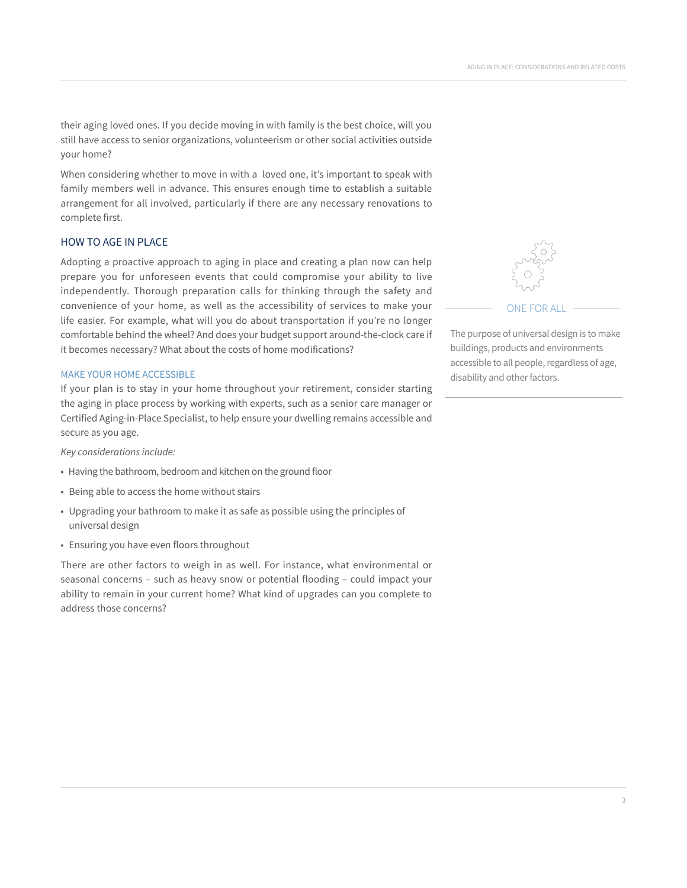their aging loved ones. If you decide moving in with family is the best choice, will you still have access to senior organizations, volunteerism or other social activities outside your home?

When considering whether to move in with a loved one, it's important to speak with family members well in advance. This ensures enough time to establish a suitable arrangement for all involved, particularly if there are any necessary renovations to complete first.

#### HOW TO AGE IN PLACE

Adopting a proactive approach to aging in place and creating a plan now can help prepare you for unforeseen events that could compromise your ability to live independently. Thorough preparation calls for thinking through the safety and convenience of your home, as well as the accessibility of services to make your life easier. For example, what will you do about transportation if you're no longer comfortable behind the wheel? And does your budget support around-the-clock care if it becomes necessary? What about the costs of home modifications?

#### MAKE YOUR HOME ACCESSIBLE

If your plan is to stay in your home throughout your retirement, consider starting the aging in place process by working with experts, such as a senior care manager or Certified Aging-in-Place Specialist, to help ensure your dwelling remains accessible and secure as you age.

*Key considerations include:*

- Having the bathroom, bedroom and kitchen on the ground floor
- Being able to access the home without stairs
- Upgrading your bathroom to make it as safe as possible using the principles of universal design
- Ensuring you have even floors throughout

There are other factors to weigh in as well. For instance, what environmental or seasonal concerns – such as heavy snow or potential flooding – could impact your ability to remain in your current home? What kind of upgrades can you complete to address those concerns?



ONE FOR ALL

The purpose of universal design is to make buildings, products and environments accessible to all people, regardless of age, disability and other factors.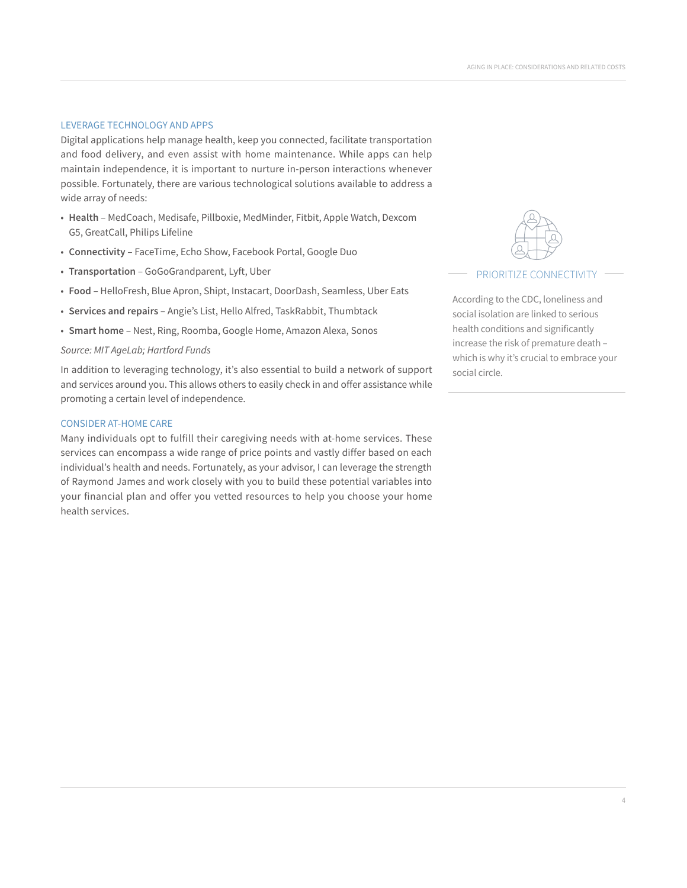#### LEVERAGE TECHNOLOGY AND APPS

Digital applications help manage health, keep you connected, facilitate transportation and food delivery, and even assist with home maintenance. While apps can help maintain independence, it is important to nurture in-person interactions whenever possible. Fortunately, there are various technological solutions available to address a wide array of needs:

- **Health** MedCoach, Medisafe, Pillboxie, MedMinder, Fitbit, Apple Watch, Dexcom G5, GreatCall, Philips Lifeline
- **Connectivity**  FaceTime, Echo Show, Facebook Portal, Google Duo
- **Transportation** GoGoGrandparent, Lyft, Uber
- **Food** HelloFresh, Blue Apron, Shipt, Instacart, DoorDash, Seamless, Uber Eats
- **Services and repairs** Angie's List, Hello Alfred, TaskRabbit, Thumbtack
- **Smart home** Nest, Ring, Roomba, Google Home, Amazon Alexa, Sonos

#### *Source: MIT AgeLab; Hartford Funds*

In addition to leveraging technology, it's also essential to build a network of support and services around you. This allows others to easily check in and offer assistance while promoting a certain level of independence.

#### CONSIDER AT-HOME CARE

Many individuals opt to fulfill their caregiving needs with at-home services. These services can encompass a wide range of price points and vastly differ based on each individual's health and needs. Fortunately, as your advisor, I can leverage the strength of Raymond James and work closely with you to build these potential variables into your financial plan and offer you vetted resources to help you choose your home health services.



#### PRIORITIZE CONNECTIVITY

According to the CDC, loneliness and social isolation are linked to serious health conditions and significantly increase the risk of premature death – which is why it's crucial to embrace your social circle.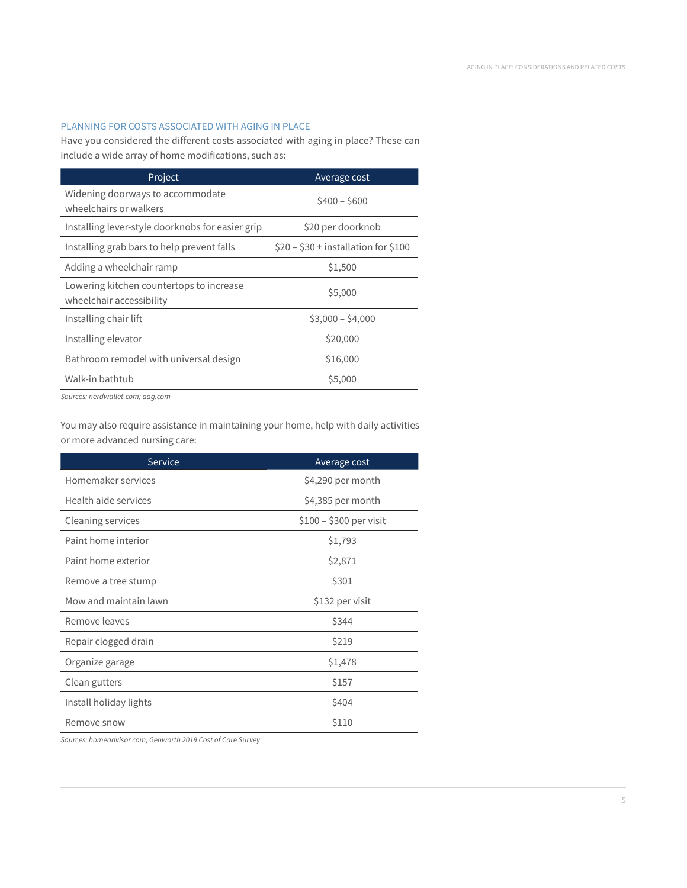#### PLANNING FOR COSTS ASSOCIATED WITH AGING IN PLACE

Have you considered the different costs associated with aging in place? These can include a wide array of home modifications, such as:

| Project                                                              | Average cost                         |
|----------------------------------------------------------------------|--------------------------------------|
| Widening doorways to accommodate<br>wheelchairs or walkers           | $$400 - $600$                        |
| Installing lever-style doorknobs for easier grip                     | \$20 per doorknob                    |
| Installing grab bars to help prevent falls                           | $$20 - $30 +$ installation for \$100 |
| Adding a wheelchair ramp                                             | \$1,500                              |
| Lowering kitchen countertops to increase<br>wheelchair accessibility | \$5,000                              |
| Installing chair lift                                                | $$3,000 - $4,000$                    |
| Installing elevator                                                  | \$20,000                             |
| Bathroom remodel with universal design                               | \$16,000                             |
| Walk-in bathtub                                                      | \$5,000                              |

*Sources: nerdwallet.com; aag.com*

You may also require assistance in maintaining your home, help with daily activities or more advanced nursing care:

| Service                  | Average cost            |
|--------------------------|-------------------------|
| Homemaker services       | \$4,290 per month       |
| Health aide services     | \$4,385 per month       |
| <b>Cleaning services</b> | $$100 - $300$ per visit |
| Paint home interior      | \$1,793                 |
| Paint home exterior      | \$2,871                 |
| Remove a tree stump      | \$301                   |
| Mow and maintain lawn    | \$132 per visit         |
| Remove leaves            | \$344                   |
| Repair clogged drain     | \$219                   |
| Organize garage          | \$1,478                 |
| Clean gutters            | \$157                   |
| Install holiday lights   | \$404                   |
| Remove snow              | \$110                   |

*Sources: homeadvisor.com; Genworth 2019 Cost of Care Survey*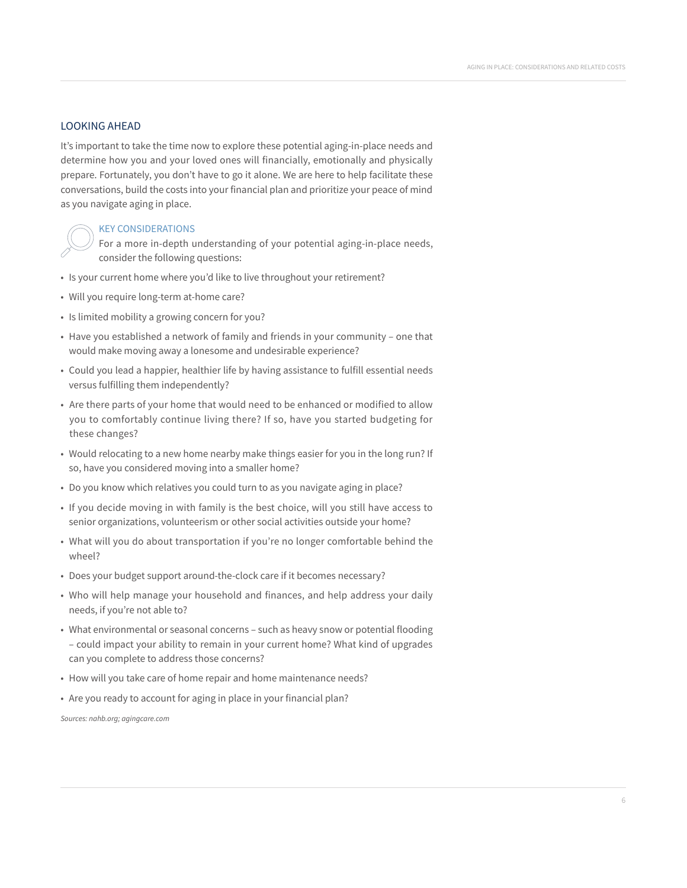#### LOOKING AHEAD

It's important to take the time now to explore these potential aging-in-place needs and determine how you and your loved ones will financially, emotionally and physically prepare. Fortunately, you don't have to go it alone. We are here to help facilitate these conversations, build the costs into your financial plan and prioritize your peace of mind as you navigate aging in place.

#### KEY CONSIDERATIONS

For a more in-depth understanding of your potential aging-in-place needs, consider the following questions:

- Is your current home where you'd like to live throughout your retirement?
- Will you require long-term at-home care?
- Is limited mobility a growing concern for you?
- Have you established a network of family and friends in your community one that would make moving away a lonesome and undesirable experience?
- Could you lead a happier, healthier life by having assistance to fulfill essential needs versus fulfilling them independently?
- Are there parts of your home that would need to be enhanced or modified to allow you to comfortably continue living there? If so, have you started budgeting for these changes?
- Would relocating to a new home nearby make things easier for you in the long run? If so, have you considered moving into a smaller home?
- Do you know which relatives you could turn to as you navigate aging in place?
- If you decide moving in with family is the best choice, will you still have access to senior organizations, volunteerism or other social activities outside your home?
- What will you do about transportation if you're no longer comfortable behind the wheel?
- Does your budget support around-the-clock care if it becomes necessary?
- Who will help manage your household and finances, and help address your daily needs, if you're not able to?
- What environmental or seasonal concerns such as heavy snow or potential flooding – could impact your ability to remain in your current home? What kind of upgrades can you complete to address those concerns?
- How will you take care of home repair and home maintenance needs?
- Are you ready to account for aging in place in your financial plan?

*Sources: nahb.org; agingcare.com*